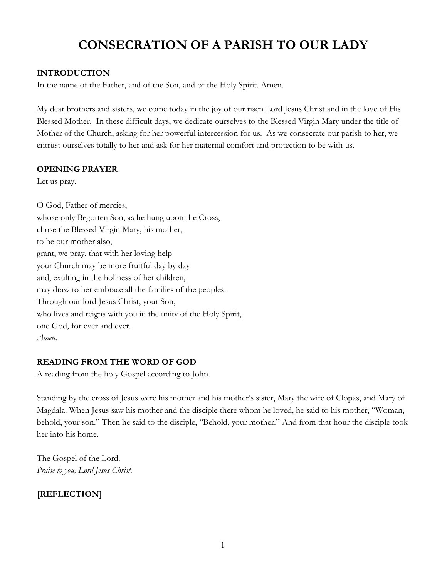# **CONSECRATION OF A PARISH TO OUR LADY**

# **INTRODUCTION**

In the name of the Father, and of the Son, and of the Holy Spirit. Amen.

My dear brothers and sisters, we come today in the joy of our risen Lord Jesus Christ and in the love of His Blessed Mother. In these difficult days, we dedicate ourselves to the Blessed Virgin Mary under the title of Mother of the Church, asking for her powerful intercession for us. As we consecrate our parish to her, we entrust ourselves totally to her and ask for her maternal comfort and protection to be with us.

#### **OPENING PRAYER**

Let us pray.

O God, Father of mercies, whose only Begotten Son, as he hung upon the Cross, chose the Blessed Virgin Mary, his mother, to be our mother also, grant, we pray, that with her loving help your Church may be more fruitful day by day and, exulting in the holiness of her children, may draw to her embrace all the families of the peoples. Through our lord Jesus Christ, your Son, who lives and reigns with you in the unity of the Holy Spirit, one God, for ever and ever. *Amen*.

### **READING FROM THE WORD OF GOD**

A reading from the holy Gospel according to John.

Standing by the cross of Jesus were his mother and his mother's sister, Mary the wife of Clopas, and Mary of Magdala. When Jesus saw his mother and the disciple there whom he loved, he said to his mother, "Woman, behold, your son." Then he said to the disciple, "Behold, your mother." And from that hour the disciple took her into his home.

The Gospel of the Lord. *Praise to you, Lord Jesus Christ*.

# **[REFLECTION]**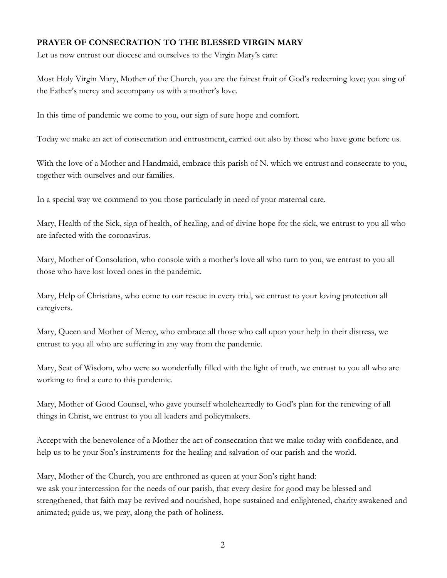#### **PRAYER OF CONSECRATION TO THE BLESSED VIRGIN MARY**

Let us now entrust our diocese and ourselves to the Virgin Mary's care:

Most Holy Virgin Mary, Mother of the Church, you are the fairest fruit of God's redeeming love; you sing of the Father's mercy and accompany us with a mother's love.

In this time of pandemic we come to you, our sign of sure hope and comfort.

Today we make an act of consecration and entrustment, carried out also by those who have gone before us.

With the love of a Mother and Handmaid, embrace this parish of N. which we entrust and consecrate to you, together with ourselves and our families.

In a special way we commend to you those particularly in need of your maternal care.

Mary, Health of the Sick, sign of health, of healing, and of divine hope for the sick, we entrust to you all who are infected with the coronavirus.

Mary, Mother of Consolation, who console with a mother's love all who turn to you, we entrust to you all those who have lost loved ones in the pandemic.

Mary, Help of Christians, who come to our rescue in every trial, we entrust to your loving protection all caregivers.

Mary, Queen and Mother of Mercy, who embrace all those who call upon your help in their distress, we entrust to you all who are suffering in any way from the pandemic.

Mary, Seat of Wisdom, who were so wonderfully filled with the light of truth, we entrust to you all who are working to find a cure to this pandemic.

Mary, Mother of Good Counsel, who gave yourself wholeheartedly to God's plan for the renewing of all things in Christ, we entrust to you all leaders and policymakers.

Accept with the benevolence of a Mother the act of consecration that we make today with confidence, and help us to be your Son's instruments for the healing and salvation of our parish and the world.

Mary, Mother of the Church, you are enthroned as queen at your Son's right hand: we ask your intercession for the needs of our parish, that every desire for good may be blessed and strengthened, that faith may be revived and nourished, hope sustained and enlightened, charity awakened and animated; guide us, we pray, along the path of holiness.